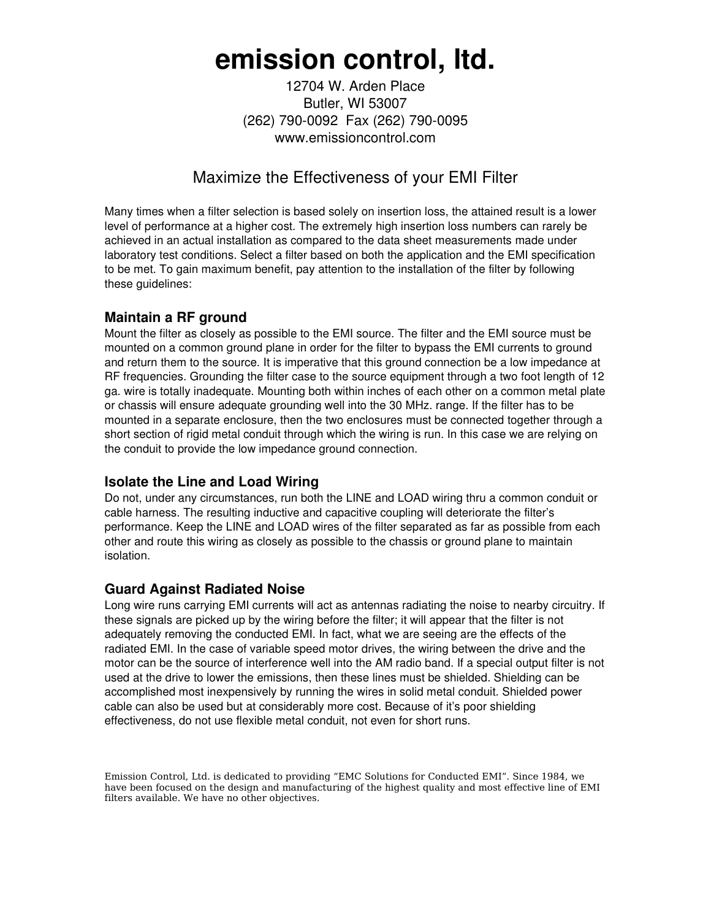# **emission control, ltd.**

12704 W. Arden Place Butler, WI 53007 (262) 790-0092 Fax (262) 790-0095 www.emissioncontrol.com

### Maximize the Effectiveness of your EMI Filter

Many times when a filter selection is based solely on insertion loss, the attained result is a lower level of performance at a higher cost. The extremely high insertion loss numbers can rarely be achieved in an actual installation as compared to the data sheet measurements made under laboratory test conditions. Select a filter based on both the application and the EMI specification to be met. To gain maximum benefit, pay attention to the installation of the filter by following these guidelines:

#### **Maintain a RF ground**

Mount the filter as closely as possible to the EMI source. The filter and the EMI source must be mounted on a common ground plane in order for the filter to bypass the EMI currents to ground and return them to the source. It is imperative that this ground connection be a low impedance at RF frequencies. Grounding the filter case to the source equipment through a two foot length of 12 ga. wire is totally inadequate. Mounting both within inches of each other on a common metal plate or chassis will ensure adequate grounding well into the 30 MHz. range. If the filter has to be mounted in a separate enclosure, then the two enclosures must be connected together through a short section of rigid metal conduit through which the wiring is run. In this case we are relying on the conduit to provide the low impedance ground connection.

#### **Isolate the Line and Load Wiring**

Do not, under any circumstances, run both the LINE and LOAD wiring thru a common conduit or cable harness. The resulting inductive and capacitive coupling will deteriorate the filter's performance. Keep the LINE and LOAD wires of the filter separated as far as possible from each other and route this wiring as closely as possible to the chassis or ground plane to maintain isolation.

#### **Guard Against Radiated Noise**

Long wire runs carrying EMI currents will act as antennas radiating the noise to nearby circuitry. If these signals are picked up by the wiring before the filter; it will appear that the filter is not adequately removing the conducted EMI. In fact, what we are seeing are the effects of the radiated EMI. In the case of variable speed motor drives, the wiring between the drive and the motor can be the source of interference well into the AM radio band. If a special output filter is not used at the drive to lower the emissions, then these lines must be shielded. Shielding can be accomplished most inexpensively by running the wires in solid metal conduit. Shielded power cable can also be used but at considerably more cost. Because of it's poor shielding effectiveness, do not use flexible metal conduit, not even for short runs.

Emission Control, Ltd. is dedicated to providing "EMC Solutions for Conducted EMI". Since 1984, we have been focused on the design and manufacturing of the highest quality and most effective line of EMI filters available. We have no other objectives.